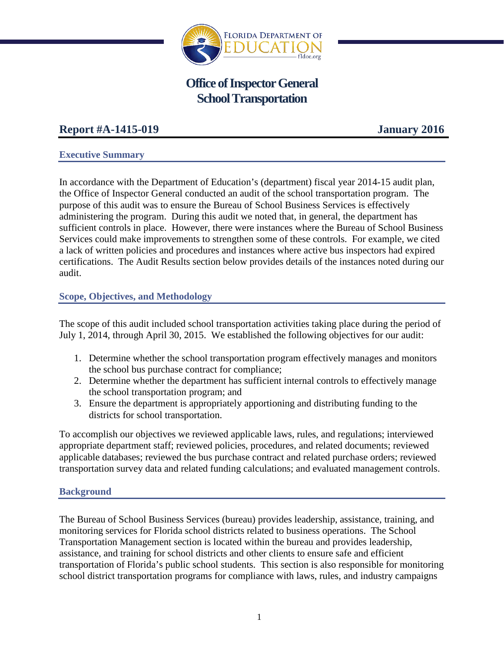

# **Office of Inspector General School Transportation**

# **Report #A-1415-019 January 2016**

## **Executive Summary**

In accordance with the Department of Education's (department) fiscal year 2014-15 audit plan, the Office of Inspector General conducted an audit of the school transportation program. The purpose of this audit was to ensure the Bureau of School Business Services is effectively administering the program. During this audit we noted that, in general, the department has sufficient controls in place. However, there were instances where the Bureau of School Business Services could make improvements to strengthen some of these controls. For example, we cited a lack of written policies and procedures and instances where active bus inspectors had expired certifications. The Audit Results section below provides details of the instances noted during our audit.

## **Scope, Objectives, and Methodology**

The scope of this audit included school transportation activities taking place during the period of July 1, 2014, through April 30, 2015. We established the following objectives for our audit:

- 1. Determine whether the school transportation program effectively manages and monitors the school bus purchase contract for compliance;
- 2. Determine whether the department has sufficient internal controls to effectively manage the school transportation program; and
- 3. Ensure the department is appropriately apportioning and distributing funding to the districts for school transportation.

To accomplish our objectives we reviewed applicable laws, rules, and regulations; interviewed appropriate department staff; reviewed policies, procedures, and related documents; reviewed applicable databases; reviewed the bus purchase contract and related purchase orders; reviewed transportation survey data and related funding calculations; and evaluated management controls.

## **Background**

The Bureau of School Business Services (bureau) provides leadership, assistance, training, and monitoring services for Florida school districts related to business operations. The School Transportation Management section is located within the bureau and provides leadership, assistance, and training for school districts and other clients to ensure safe and efficient transportation of Florida's public school students. This section is also responsible for monitoring school district transportation programs for compliance with laws, rules, and industry campaigns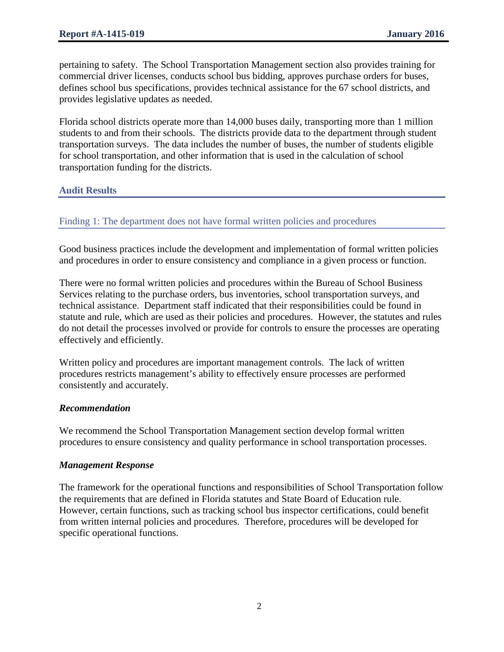pertaining to safety. The School Transportation Management section also provides training for commercial driver licenses, conducts school bus bidding, approves purchase orders for buses, defines school bus specifications, provides technical assistance for the 67 school districts, and provides legislative updates as needed.

Florida school districts operate more than 14,000 buses daily, transporting more than 1 million students to and from their schools. The districts provide data to the department through student transportation surveys. The data includes the number of buses, the number of students eligible for school transportation, and other information that is used in the calculation of school transportation funding for the districts.

# **Audit Results**

# Finding 1: The department does not have formal written policies and procedures

Good business practices include the development and implementation of formal written policies and procedures in order to ensure consistency and compliance in a given process or function.

There were no formal written policies and procedures within the Bureau of School Business Services relating to the purchase orders, bus inventories, school transportation surveys, and technical assistance. Department staff indicated that their responsibilities could be found in statute and rule, which are used as their policies and procedures. However, the statutes and rules do not detail the processes involved or provide for controls to ensure the processes are operating effectively and efficiently.

Written policy and procedures are important management controls. The lack of written procedures restricts management's ability to effectively ensure processes are performed consistently and accurately.

## *Recommendation*

We recommend the School Transportation Management section develop formal written procedures to ensure consistency and quality performance in school transportation processes.

#### *Management Response*

The framework for the operational functions and responsibilities of School Transportation follow the requirements that are defined in Florida statutes and State Board of Education rule. However, certain functions, such as tracking school bus inspector certifications, could benefit from written internal policies and procedures. Therefore, procedures will be developed for specific operational functions.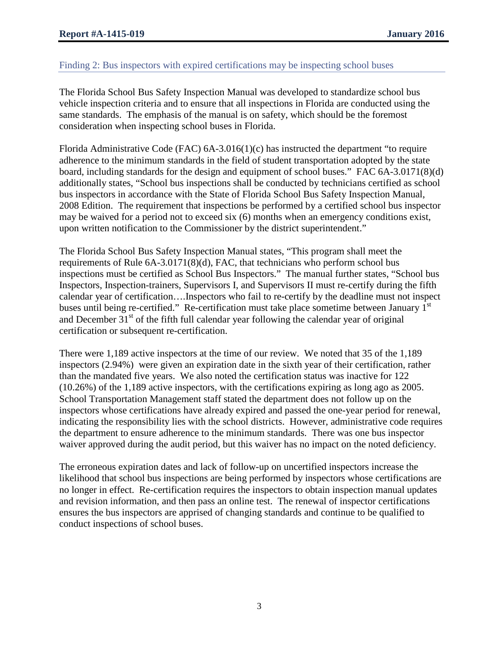## Finding 2: Bus inspectors with expired certifications may be inspecting school buses

The Florida School Bus Safety Inspection Manual was developed to standardize school bus vehicle inspection criteria and to ensure that all inspections in Florida are conducted using the same standards. The emphasis of the manual is on safety, which should be the foremost consideration when inspecting school buses in Florida.

Florida Administrative Code (FAC) 6A-3.016(1)(c) has instructed the department "to require adherence to the minimum standards in the field of student transportation adopted by the state board, including standards for the design and equipment of school buses." FAC 6A-3.0171(8)(d) additionally states, "School bus inspections shall be conducted by technicians certified as school bus inspectors in accordance with the State of Florida School Bus Safety Inspection Manual, 2008 Edition. The requirement that inspections be performed by a certified school bus inspector may be waived for a period not to exceed six (6) months when an emergency conditions exist, upon written notification to the Commissioner by the district superintendent."

The Florida School Bus Safety Inspection Manual states, "This program shall meet the requirements of Rule 6A-3.0171(8)(d), FAC, that technicians who perform school bus inspections must be certified as School Bus Inspectors." The manual further states, "School bus Inspectors, Inspection-trainers, Supervisors I, and Supervisors II must re-certify during the fifth calendar year of certification….Inspectors who fail to re-certify by the deadline must not inspect buses until being re-certified." Re-certification must take place sometime between January 1<sup>st</sup> and December  $31<sup>st</sup>$  of the fifth full calendar year following the calendar year of original certification or subsequent re-certification.

There were 1,189 active inspectors at the time of our review. We noted that 35 of the 1,189 inspectors (2.94%) were given an expiration date in the sixth year of their certification, rather than the mandated five years. We also noted the certification status was inactive for 122 (10.26%) of the 1,189 active inspectors, with the certifications expiring as long ago as 2005. School Transportation Management staff stated the department does not follow up on the inspectors whose certifications have already expired and passed the one-year period for renewal, indicating the responsibility lies with the school districts. However, administrative code requires the department to ensure adherence to the minimum standards. There was one bus inspector waiver approved during the audit period, but this waiver has no impact on the noted deficiency.

The erroneous expiration dates and lack of follow-up on uncertified inspectors increase the likelihood that school bus inspections are being performed by inspectors whose certifications are no longer in effect. Re-certification requires the inspectors to obtain inspection manual updates and revision information, and then pass an online test. The renewal of inspector certifications ensures the bus inspectors are apprised of changing standards and continue to be qualified to conduct inspections of school buses.